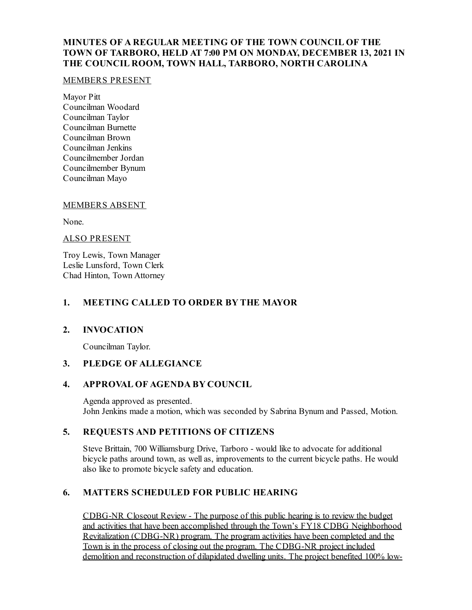## **MINUTES OF A REGULAR MEETING OF THE TOWN COUNCIL OF THE TOWN OF TARBORO, HELD AT 7:00 PM ON MONDAY, DECEMBER 13, 2021 IN THE COUNCIL ROOM, TOWN HALL, TARBORO, NORTH CAROLINA**

#### MEMBERS PRESENT

Mayor Pitt Councilman Woodard Councilman Taylor Councilman Burnette Councilman Brown Councilman Jenkins Councilmember Jordan Councilmember Bynum Councilman Mayo

## MEMBERS ABSENT

None.

#### ALSO PRESENT

Troy Lewis, Town Manager Leslie Lunsford, Town Clerk Chad Hinton, Town Attorney

## **1. MEETING CALLED TO ORDER BY THE MAYOR**

## **2. INVOCATION**

Councilman Taylor.

## **3. PLEDGE OF ALLEGIANCE**

## **4. APPROVAL OF AGENDA BY COUNCIL**

Agenda approved as presented. John Jenkins made a motion, which was seconded by Sabrina Bynum and Passed, Motion.

# **5. REQUESTS AND PETITIONS OF CITIZENS**

Steve Brittain, 700 Williamsburg Drive, Tarboro - would like to advocate for additional bicycle paths around town, as wellas, improvements to the current bicycle paths. He would also like to promote bicycle safety and education.

# **6. MATTERS SCHEDULED FOR PUBLIC HEARING**

CDBG-NR Closeout Review - The purpose of this public hearing is to review the budget and activities that have been accomplished through the Town's FY18 CDBG Neighborhood Revitalization (CDBG-NR) program. The program activities have been completed and the Town is in the process of closing out the program. The CDBG-NR project included demolition and reconstruction of dilapidated dwelling units. The project benefited 100% low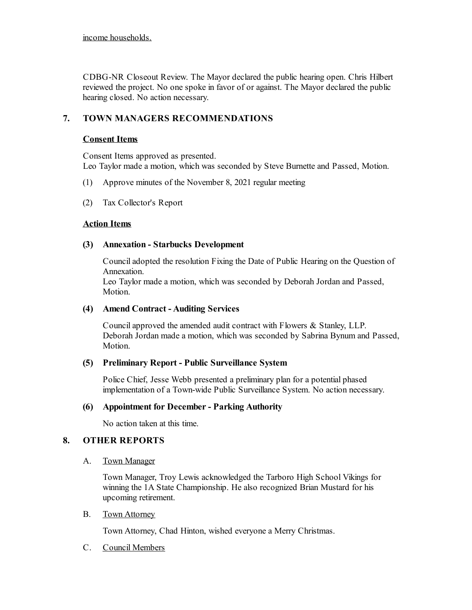income households.

CDBG-NR Closeout Review. The Mayor declared the public hearing open. Chris Hilbert reviewed the project. No one spoke in favor of or against. The Mayor declared the public hearing closed. No action necessary.

# **7. TOWN MANAGERS RECOMMENDATIONS**

## **Consent Items**

Consent Items approved as presented. Leo Taylor made a motion, which was seconded by Steve Burnette and Passed, Motion.

- (1) Approve minutes of the November 8, 2021 regular meeting
- (2) Tax Collector's Report

#### **Action Items**

#### **(3) Annexation - Starbucks Development**

Counciladopted the resolution Fixing the Date of Public Hearing on the Question of Annexation.

Leo Taylor made a motion, which was seconded by Deborah Jordan and Passed, Motion.

#### **(4) Amend Contract - Auditing Services**

Councilapproved the amended audit contract with Flowers & Stanley, LLP. Deborah Jordan made a motion, which was seconded by Sabrina Bynum and Passed, Motion.

#### **(5) Preliminary Report - Public Surveillance System**

Police Chief, Jesse Webb presented a preliminary plan for a potential phased implementation of a Town-wide Public Surveillance System. No action necessary.

## **(6) Appointment for December- Parking Authority**

No action taken at this time.

## **8. OTHER REPORTS**

#### A. Town Manager

Town Manager, Troy Lewis acknowledged the Tarboro High School Vikings for winning the 1A State Championship. He also recognized Brian Mustard for his upcoming retirement.

#### B. Town Attorney

Town Attorney, Chad Hinton, wished everyone a Merry Christmas.

C. Council Members